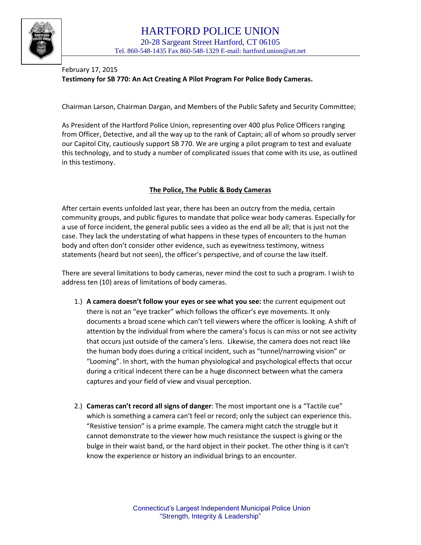

## February 17, 2015 **Testimony for SB 770: An Act Creating A Pilot Program For Police Body Cameras.**

Chairman Larson, Chairman Dargan, and Members of the Public Safety and Security Committee;

As President of the Hartford Police Union, representing over 400 plus Police Officers ranging from Officer, Detective, and all the way up to the rank of Captain; all of whom so proudly server our Capitol City, cautiously support SB 770. We are urging a pilot program to test and evaluate this technology, and to study a number of complicated issues that come with its use, as outlined in this testimony.

## **The Police, The Public & Body Cameras**

After certain events unfolded last year, there has been an outcry from the media, certain community groups, and public figures to mandate that police wear body cameras. Especially for a use of force incident, the general public sees a video as the end all be all; that is just not the case. They lack the understating of what happens in these types of encounters to the human body and often don't consider other evidence, such as eyewitness testimony, witness statements (heard but not seen), the officer's perspective, and of course the law itself.

There are several limitations to body cameras, never mind the cost to such a program. I wish to address ten (10) areas of limitations of body cameras.

- 1.) **A camera doesn't follow your eyes or see what you see:** the current equipment out there is not an "eye tracker" which follows the officer's eye movements. It only documents a broad scene which can't tell viewers where the officer is looking. A shift of attention by the individual from where the camera's focus is can miss or not see activity that occurs just outside of the camera's lens. Likewise, the camera does not react like the human body does during a critical incident, such as "tunnel/narrowing vision" or "Looming". In short, with the human physiological and psychological effects that occur during a critical indecent there can be a huge disconnect between what the camera captures and your field of view and visual perception.
- 2.) **Cameras can't record all signs of danger**: The most important one is a "Tactile cue" which is something a camera can't feel or record; only the subject can experience this. "Resistive tension" is a prime example. The camera might catch the struggle but it cannot demonstrate to the viewer how much resistance the suspect is giving or the bulge in their waist band, or the hard object in their pocket. The other thing is it can't know the experience or history an individual brings to an encounter.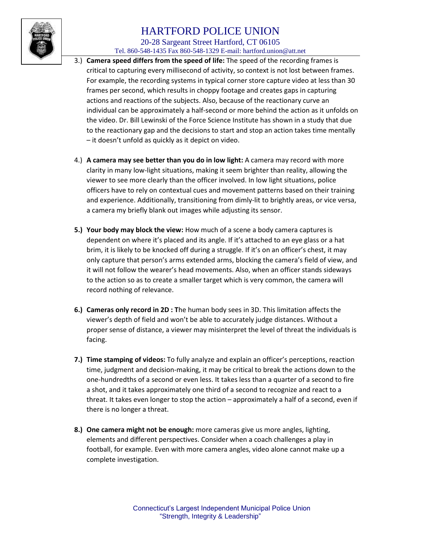

## 20-28 Sargeant Street Hartford, CT 06105

Tel. 860-548-1435 Fax 860-548-1329 E-mail: hartford.union@att.net

- 3.) **Camera speed differs from the speed of life:** The speed of the recording frames is critical to capturing every millisecond of activity, so context is not lost between frames. For example, the recording systems in typical corner store capture video at less than 30 frames per second, which results in choppy footage and creates gaps in capturing actions and reactions of the subjects. Also, because of the reactionary curve an individual can be approximately a half-second or more behind the action as it unfolds on the video. Dr. Bill Lewinski of the Force Science Institute has shown in a study that due to the reactionary gap and the decisions to start and stop an action takes time mentally – it doesn't unfold as quickly as it depict on video.
- 4.) **A camera may see better than you do in low light:** A camera may record with more clarity in many low-light situations, making it seem brighter than reality, allowing the viewer to see more clearly than the officer involved. In low light situations, police officers have to rely on contextual cues and movement patterns based on their training and experience. Additionally, transitioning from dimly-lit to brightly areas, or vice versa, a camera my briefly blank out images while adjusting its sensor.
- **5.) Your body may block the view:** How much of a scene a body camera captures is dependent on where it's placed and its angle. If it's attached to an eye glass or a hat brim, it is likely to be knocked off during a struggle. If it's on an officer's chest, it may only capture that person's arms extended arms, blocking the camera's field of view, and it will not follow the wearer's head movements. Also, when an officer stands sideways to the action so as to create a smaller target which is very common, the camera will record nothing of relevance.
- **6.) Cameras only record in 2D : T**he human body sees in 3D. This limitation affects the viewer's depth of field and won't be able to accurately judge distances. Without a proper sense of distance, a viewer may misinterpret the level of threat the individuals is facing.
- **7.) Time stamping of videos:** To fully analyze and explain an officer's perceptions, reaction time, judgment and decision-making, it may be critical to break the actions down to the one-hundredths of a second or even less. It takes less than a quarter of a second to fire a shot, and it takes approximately one third of a second to recognize and react to a threat. It takes even longer to stop the action – approximately a half of a second, even if there is no longer a threat.
- **8.) One camera might not be enough:** more cameras give us more angles, lighting, elements and different perspectives. Consider when a coach challenges a play in football, for example. Even with more camera angles, video alone cannot make up a complete investigation.